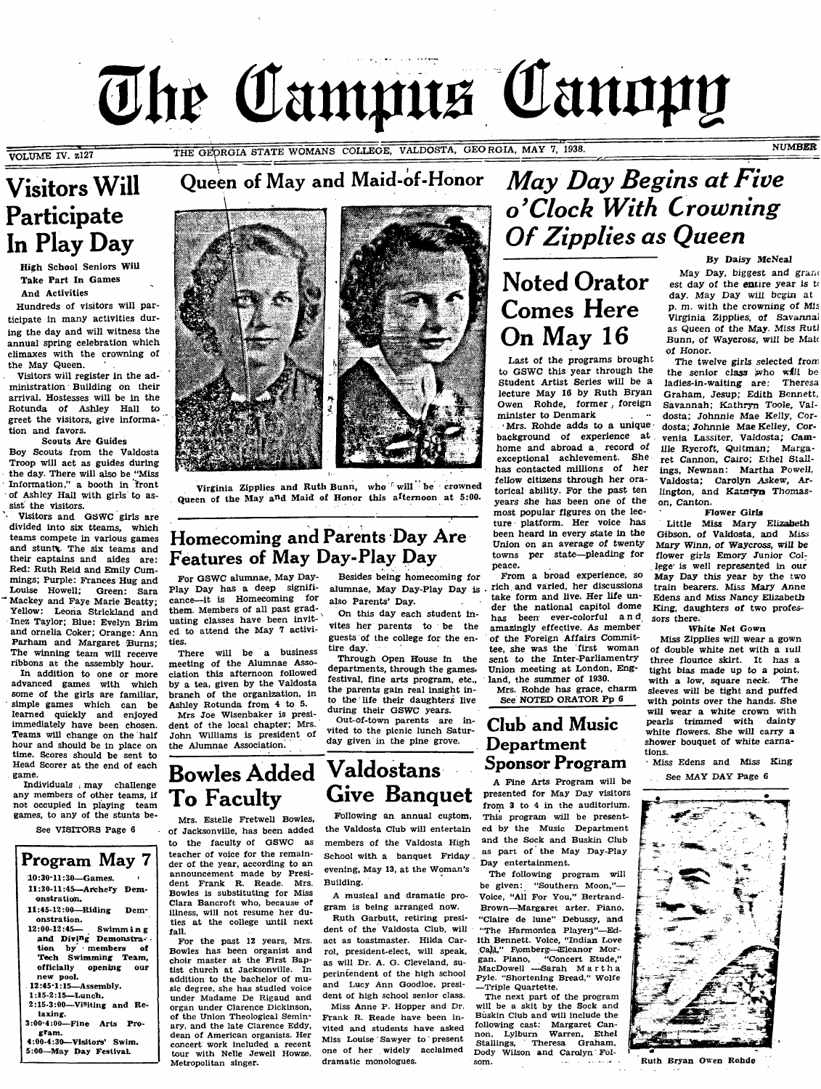# The Campus Canopy

**VOLUME** rv. **zI27**

THE GEORGIA STATE WOMANS COLLEGE, VALDOSTA, GEORGIA, MAY 7, 1938. **IN ALL AND A STATE WOMANS** 

# Visitors Will Queen of May and Maid-of-Honor Participate In Play Day

High School Seniors Will Take Part In Games And Activities

Hundreds of visitors will participate in many activities during the day and will witness the annual spring celebration which climaxes with the crowning of the May Queen.

Visitors will register in the administration Building on their arrival. Hostesses will be in the Rotunda of Ashley Hall to greet the visitors, give information and favors.

Scouts Are Guides Boy Scouts from the Valdosta Troop will act as guides during the day. There will also be "Miss" Information," a booth in front of Ashley Hall with girls to assist the visitors.

Visitors and GSWC girls are divided into six tteams, which teams compete in various games and stunt%. The six teams and their captains and aides are: Red: Ruth Reid and Emily Cummings; Purple: Frances Hug and Louise Howell; Green: Sara Mackey and Faye Marie Beatty;<br>Yellow: Leona Strickland and Leona Strickland and inez Taylor; Blue: Evelyn Brim and ornelia Coker; Orange: Ann Parham and Margaret Burns; The winning team will receive ribbons at the assembly hour.

In addition to one or more advanced games with which some of the girls are familiar, ' simple games which can be learned quickly and enjoyed immediately have been chosen. Teams will change on the half hour and should be in place on time. Scores should be sent to Head Scorer at the end of each game.

individuals . may challenge any members of other teams, if not occupied in playing team games, to any of the stunts be-

See VISITORS Page 6

#### Program May 7 10:30-11:30—Games. 11:30-11:45—Archery Demonstration. 11:45-12:00—Riding Demonstration.<br>12:00-12:45-Swimm ing and Diving Demonstration by members of Tech Swimming Team, officiaiiy opening our new pooL 12:45-1:15—Assembiy. 1:15-2:15—Lunch. 2:15-3:00—Visiting and Betaxing.

fall.

Metropolitan singer.

3:00-4:00—Fine Arts Program.

4:00-4:30—Visitors' Swim. 5:00—May Day FestivaL

Virginia Zipplies and Ruth Bunn, who will be crowned Queen of the May a<sup>n</sup>d Maid of Honor this afternoon at 5:00.

### Homecoming and Parents Day Are Features of May Day-Play Day

For GSWC alumnae, May Day-Play Day has a deep significance—^it is Homecoming for them. Members of all past graduating classes have been invited to attend the May 7 activities.

There will be a business meeting of the Alumnae Association this afternoon followed by a tea, given by the Valdosta branch of the organization, in Ashley Rotunda from 4 to 5. Mrs Joe Wisenbaker is presi-

dent of the local chapter; Mrs. John Williams is president of the Alumnae Association.

Besides being homecoming for alumnae. May Day-Play Day is also Parents' Day.

On this day each student invites her parents to be the guests of the college for the entire day.

Through Open House in the departments, through the games, festival, fine arts program, etc., the parents gain real insight into the life their daughters live during their GSWC years.

Out-of-town parents are invited to the picnic lunch Saturday given in the pine grove.

# May Day Begins at Five o'Clock With Crowning Of Zipplies as Queen

# Noted Orator Comes Here On Mav 16

Last of the programs brought to GSWC this year through the Student Artist Series will be a lecture May 16 by Ruth Bryan Owen Rohde, former, foreign minister to Denmark

Mrs. Rohde adds to a unique background of experience at home and abroad a record of exceptional achievement. She has contacted millions of her fellow citizens through her oratorical ability. For the past ten years she has been one of the most popular figures on the lecture platform. Her voice has been heard in every state in the Union on an average of twenty towns per state—pleading for peace.

From a broad experience, so rich and varied, her discussions take form and live. Her life under the national capitol dome has been ever-colorful a n d amazingly effective. As member of the Foreign Affairs Committee, she was the first woman sent to the Inter-Parllamentry Union meeting at London, England, the summer of 1930.

Mrs. Rohde has grace, charm See NOTED ORATOR Pp 6

### Club and Music Department Sponsor Program

A Fine Arts Program will be presented for May Day visitors from 3 to 4 in the auditorium. This program will be presented by the Music Department and the Sock and Buskin Club as part of the May Day-Play Day entertainment.

The following program will be given: "Southern Moon,"— Voice, "All For You," Bertrand-Brown—^Margaret arter. Piano, "Claire de lune" Debussy, and "The Harmonica Playerj"---Edith Bennett. Voice, "Indian Love Ca)A," F\omberg-Eleanor Morgan. Piano, "Concert Etude," MacDowell —Sarah Martha Pyle. "Shortening Bread," Wolfe —Triple Quartette.

The next part of the program will be a skit by the Sock and Buskin Club and will include the following cast: Margaret Cannon, Lylburn Warren, Ethel Stallings, Theresa Graham, Dody Wilson and Carolyn Fol-<br>som.

#### By Daisy McNeal

May Day, biggest and grand est day of the entire year is  $t$ day. May Day wiil begin at p. m. with the crowning of Mis Virginia Zipplies, of Savannal as Queen of the May. Miss Rutl Bunn, of Waycross, will be Maic of Honor.

The twelve girls selected from the senior class who will be<br>ladies-in-waiting are: Theresa ladies-in-waiting are: Graham, Jesup; Edith Bennett, Savannah; Kathryn Toole, Valdosta; Johnnie Mae Kelly, Cordosta; Johnnie Mae Kelley, Corvenia Lassiter, Valdosta; Camille Rycroft, Quitman; Margaret Cannon, Cairo; Ethel Stallings, Newnan: Martha Powell, Valdosta; Carolyn Askew, Arlington, and Katnyn Thomason, Canton.

Flower Girls

Little Miss Mary Elizabeth Gibson, of Vaidosta, and Miss Mary Winn, of Waycross, will be flower girls Emory Junior College is weil represented in our May Day this year by the two train bearers. Miss Mary Anne Edens and Miss Nancy Elizabeth King, daughters of two professors there.

White Net Gown

Miss Zipplies will wear a gown of double white net with a lull three flounce skirt. It has a tight bias made up to a point, with a low, square neck. The sleeves will be tight and puffed with points over the hands. She will wear a white crown with pearls trimmed with dainty white flowers. She will carry a shower bouquet of white carnations.

Miss Edens and Miss King See MAY DAY Page 6



Ruth Bryan Owen Rohde

# Bowles Added To Faculty

Mrs. Estelle FretweU Bowles, of Jacksonville, has been added to the faculty of GSWC as teacher of voice for the remainder of the year, according to an announcement made by President Frank R. Reade. Mrs. Bowles is substituting for Miss Clara Bancroft who, because of Building.

illness, will not resume her duties at the college until next For the past 12 years, Mrs. Bowles has been organist and choir master at the First Baptist church at Jacksonville. In addition to the bachelor of music degree, she has studied voice under Madame De Rigaud and organ under Clarence Dickinson, of the Union Theological Seminary, and the late Clarence Eddy, dean of American organists. Her concert work included a recent tour with Nelle Jewell Howze, dramatic monologues.

Valdostans Give Banquet

> Following an annual custom, the Valdosta Club will entertain members of the Valdosta High School with a banquet Friday. evening, May 13, at the Woman's

A musical and dramatic program is being arranged now.

Ruth Garbutt, retiring president of the Valdosta Club, will act as toastmaster. Hilda Carrol, president-elect, will speak, as will Dr. A. G. Cleveland, superintendent of the high school and Lucy Ann Goodloe, president of high school senior class. Miss Anne P. Hopper and Dr. Frank R. Reade have been invited and students have asked Miss Louise Sawyer to present one of her widely acclaimed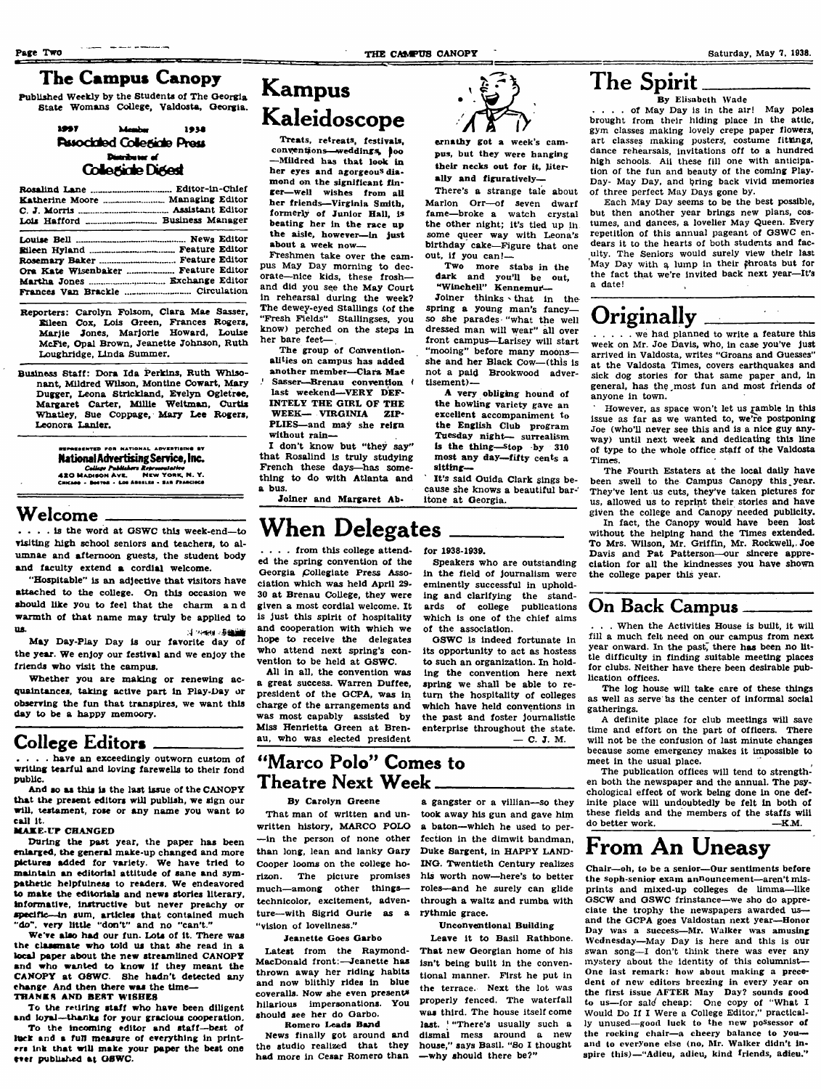$\sim 10$ 

### The Campus Canopy

Published Weekly by the Students of The Oeorgia State Womans College, Valdosta, Georgia.

#### 1057 1938 *<u><i><u><b>Admitsure</u>*</u></u> Pussociated Collegiate Press Distributor of Collectide Digest

#### Rosalind Lane\_\_\_ Katherine Moore ... Managing Editor C. J. Morris\_\_\_\_\_\_ Lois Hafford \_\_\_\_ Business Manager Editor-In-Chief Assistant Editor Louise Bell Eileen Hyland ..............<br>Rosemary Baker .......... \_\_\_\_\_\_\_\_\_ News Editor \_\_\_\_\_\_\_ Feature Editor Rosemary Baker -------------------Feature Editor Ora Kate Wisenbaker .................... Feature Editor Martha Jones ..... Exchange Editor Frances Van Brackle ....... Circulation

Reperters: Carolyn Folsom, Clara Mae Sasser, Eileen Cox, Lois Qreen, Frances Rogers, Marjie Jones, Marjorie Howard, Louise McFie, Opal Brown, Jeanette Johnson, Ruth Loughridge, Linda Summer,

Business Staff: Dora Ida Perkins, Ruth Whisonant, Mildred Wilson, Montine Cowart, Mary Dugger, Leona Strickland, Evelyn Ogletree, Margaret Carter, Millie Weitman, Curtis Whatley, Sue Coppage, Mary Lee Rogers, Leonora Lanier,

> .<br>Esented for National Advertising av National Advertising Service. Inc. and *College Publishers Representative*<br>420 MADISON AVK. MEW YORK, N. Y.<br>CHICAGO - BOTIGE - LOS ABELLES - SAR FRANCISCO

### Welcome

.... is the word at OSWC this week-end—to visiting high school seniors and teachers, to alumnae and afternoon guests, the student body and faculty extend a cordial welcome.

"Hospitable" is an adjective that visitors have attached to the college. On this occasion we should like you to feel that the charm a n d warmth of that name may truly be applied to ns. .4 ..^agjsig

May Day-Play Day is our favorite day of the year. We enjoy our festival and we enjoy the friends who visit the campus.

Whether you are making or renewing acquaintances, taking active part in Play-Day or observing the fun that transpires, we want this day to be a happy memoory.

### College Editors

.... have an exceedingly outworn custom of writing tearful and loving farewells to their fond public.

And so as this is the last issue of the CANOPY that the present editors will publish, we sign our will, testament, rose or any name you want to cal! it.

#### **MAKE UP CHANGED**

During the past year, the paper has been enlarged, the genersd make-up changed and more pictures added for variety. We have tried to maintain an editorial attitude of sane and sympathetic hejpfuinesa to readers. We endeavored to make the editorials and news stories literary, informative, instructive but never preachy or specific—in sum, articles that contained much "do", very little "don't" and no "can't."

We've also had our fun. Lots of It. There was the classmate who told us that she read in a local paper about the new streamlined CANOPY<br>and who wanted to know if they meant the who wanted to know if they meant the CANOPY at GSWC. She hadn't detected any change And then there was the time— **THANES AND BEST WISHER** 

To the retiring staff who have been diligent

and loyal-thanks for your gracious cooperation. To the incoming editor and staff-best of luek and s fun measure of everything in printers ink that will make your paper the best one ever published at GSWC.

# Kampus Kaleidoscope

Treats, retreats, festivals, conventions—weddings too —Mildred has that look in her eyes and agorgeous diamond on the significant finger—well wishes from all her friends—Virginia Smith, formerly of Junior Hall, is beating her in the race up the aisle, however—in just about a week now—

Freshmen take over the campus May Day morning to decorate—^nice kids, these frosh and did you see the May Court in rehearsal during the week? The dewey-eyed Stallings (of the "Fresh Fields" Stallingses, you know) perched on the steps in her bare feet— ,

The group of Conventionalities on campus has added

another member—Clara Mae Sasser-Brenau convention last weekend-VERY DEF INTELY THE GIRL OF THE WEEK— VIRGINIA ZIP-PLIES—and may she reign without rain—

I don't know but "they say" that Rosalind is truly studying French these days—has something to do with Atlanta and a bus. Joiner and Margaret Ab-

# When Delegates

. from this college attended the spring convention of the Georgia Collegiate Press Association which was held April 29- 30 at Brenau College, they were given a most cordial welcome. It is just this spirit of hospitality and cooperation with which we hope to receive the delegates who attend next spring's convention to be held at GSWC.

All in all, the convention was a great success. Warren Duffee, president of the GCPA, was in charge of the arrangements and was most capably assisted by Miss Henrietta Green at Brenau, who was elected president

### "Marco Polo" Comes to Theatre Next Week

By Carolyn Greene

That man of written and unwritten history, MARCO POLO —in the person of none other fection in the dimwit bandman, than long, lean and lanky Gary Cooper looms on the college horizon. The picture promises much—among other things technicolor, excitement, adventure—with Sigrid Ourie as a rythmic grace. "vision of loveliness."

#### Jeanette Goes Garbo

Latest from the Raymond-MacDonald front:-Jeanette has thrown away her riding habits and now blithly rides in blue coveraiis. Now she even presents hilarious impersonations. You should see her do Qarbo.

**Romero Leads Band** News finally got around and the studio realized that they had more in Cesar Romero than



ernathy got a week's campus, but they were hanging their necks out for it, literally and figuratively—

There's a strange tale about Marlon Orr—of seven dwarf fame—broke a watch crystal the other night; it's tied up ih some queer way with Leona's birthday cake—Figure that one out, if you can!—

Two more stabs in the dark and you'll be our, "WincheU " Kennemur—

Joiner thinks \ that in the spring a young man's fancy so she parades "what the well dressed man will wear" all over front campus—Larisey will start "mooing" before many moonsshe and her Black Cow—(this is not a paid Brookwood advertisement)—

A very obliging hound of the howling variety gave an excellent accompaniment to the English Club program Tuesday night— surrealism is the thing—stop by 310 most any day—fifty cents a sitting—

It's said Ouida Clark sings because she knows a beautiful baritone at Georgia.

for 1938-1939.

Speakers who are outstanding in the field of journalism were eminently successful in upholding and clarifying the standards of college publications which is one of the chief aims of the association.

GSWC is indeed fortunate in its oppertunity to act as hostess to such an organization. In holding the convention here next spring we shall be able to return the hospitality of colleges which have held conventions in the past and foster journalistic enterprise throughout the state. — C. J. M.

a gangster or a viilian—so they took away his gun and gave him a baton—which he used to per-

Duke Sargent, in HAPPY LAND-ING. Twentieth Century realizes his worth now—here's to better roles—and he surely can glide through a waltz and rumba with

#### Unconventional Building

Leave it to Basil Rathbone. That new Georgian home of his isn't being built in the conventional manner. First he put in the terrace. Next the lot was properly fenced. The waterfall was third. The house itself come last. ' "There's usually such a dismal mess around a new house," says Basil. "So I thought —why should there be?"

### The Spirit

By Elisabeth Wade

.... of May Day is in the air! May poles brought from their hiding place in the attic, gym classes making lovely crepe paper fiowers, art classes making posters, costume fittings, dance rehearsals, invitations off to a hundred high schools. Aii these fill one with anticipation of the fun and beauty of the coming Play-Day- May Day, and bring back vivid memories of three perfect May Days gone by.

Each May Day seems to be the best possible, but then another year brings new pians, costumes, and dances, a lovelier May Queen. Every repetition of this annual pageant of GSWC endears it to the hearts of both students and faculty. The Seniors would surely view their last May Day with a lump in their  $\hat{p}$ hroats but for the fact that we're invited back next year—It's a date!

# Originally

... we had planned to write a feature this week on Mr. Joe Davis, who, in case you've just arrived in Valdosta, writes "Groans and Guesses" at the Valdosta Times, covers earthquakes and sick dog stories for that same paper and, in general, has the most fun and most friends of anyone in town.

However, as space won't let us ramble in this issue as far as we wanted to, we're postponing Joe (who'll never see this and is a nice guy anyway) until next week and dedicating this line of type to the whole office staff of the Valdosta Times.

The Fourth Estaters at the local dally have been swell to the Campus Canopy this year. They've lent us cuts, they've taken pictures for us, allowed us to reprint their stories and have given the college and Canopy needed publicity.

In fact, the Canopy would have been lost without the helping hand the Times extended. To Mrs. Wilson, Mr. Griffin, Mr. RockweU,.Joe Davis and Pat Patterson—our sincere appreciation for all the kindnesses you have shown the college paper this year.

#### On Back Campus

. When the Activities House is built, it will fill a much felt need on our campus from next year onward. In the past, there has been no little difficulty in finding suitable meeting places for clubs. Neither have there been desirable publication offices.

The log house will take care of these things as well as serve as the center of informal social gatherings.

A definite place for club meetings will save time and effort on the part of officers. There will not be the confusion of last minute changes because some emergency makes it impossible to meet in the usual place.

The publication offices will tend to strengthen both the newspaper and the annual. The psychological effect of work being done in one definite place will undoubtedly be felt in both of these fields and the members of the staffs will do better work.  $-**K.M.**$ do better work.

# From An Uneasy

Chair—oh, to be a senior—Our sentimenis before the Soph-senior exam announcement—aren't misprints and mixed-up colleges de limma—like GSCW and GSWC frinstance—we sho do appreciate the trophy the newspapers awarded us and the GCPA goes Valdostan next year—Honor Day was a success-Mr. Walker was amusing Wednesday—May Day is here and this is our swan song—I don't think there was ever any mystery about the identity of this columnist— One iast remark: how about making a precedent of new editors breezing in every year on the first issue AFTER May Day? sounds good to us—for said cheap: One copy of "What I Would Do If I Were a College Editor," practically unused-good luck to the new possessor of the rocking chair—a cheery balance to you and to everyone cisc (no, Mr, Waiker didn't inspire this)—"Adieu, adieu, kind friends, adieu."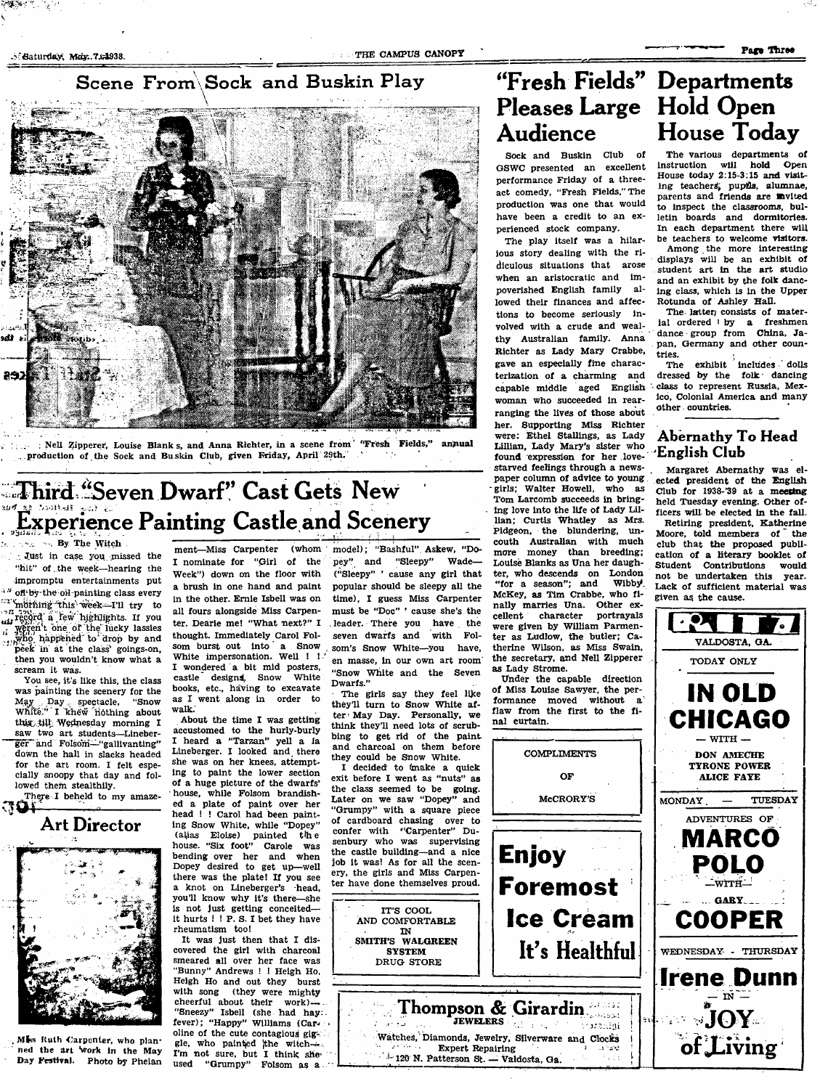### Scene From Sock and Buskin Play



: Nell Zipperer, Louise Blank s, and Anna Richter, in a scene from '"Fresh Fields," annual production of the Sock and Buskin Club, given Friday, April 29th.

# Third "Seven Dwarf" Cast Gets New Experience Painting Castle and Scenery

, . By The Witch Just in case you missed the

"hit" of . the week—hearing the impromptu entertainments put of the oil-painting class every <sup>1</sup> mothing this week-I'll try to record a few highlights. If you weren't one of the lucky lassies ...who happened to drop by and peek in at the class' goings-on, then you wouldn't know what a scream it was.

You see, it's like this, the class was painting the scenery for the<br>May Day spectacle, "Snow Day spectacle, "Snow White." I khew nothing about this till Wednesday morning I<br>saw two art students Tinehertwo art students—Lineberger and Folsom—"gallivanting" down the hall in slacks headed for the art room. I felt especially snoopy that day and followed them stealthily.

There I beheld to my amaze-----------------



Mis Ruth Carpenter, who planned the art Work in the May Day Pestivai. Photo by Phelan

ment—Miss Carpenter (whom I nominate for "Girl of the Week") down on the floor with a brush in one hand and paint in the other. Ernie Isbell was on all fours alongside Miss Carpenter. Dearie me! "What next?" I thought. Immediately Carol Folsom burst out into a Snow White impersonation. Well !! I wondered a bit mid posters, castle designs, Snow White books, etc., having to excavate as I went along in order to walk.

About the time I was getting accustomed to the hurly-burly I heard a "Tarzan" yell a la Lineberger. I looked and there she was on her knees, attempting to paint the lower section of a huge picture of the dwarfs' house, while Folsom brandished a plate of paint over her head ! ! Carol had been painting Snow White, while "Dopey" painted the house. "Six foot" Carole was bending over her and when Dopey desired to get up—well there was the plate! If you see a knot on Lineberger's head, you'll know why it's there—she is not just getting conceited it hurts ! ! P. S. I bet they have rheumatism too!

It was just then that I discovered the girl with charcoal smeared all over her face was "Bunny" Andrews ! ! Heigh Ho, Heigh Ho and out they burst with song (they were mighty cheerful about their work)— . "Sneezy" Isbell (she had hay: fever); "Happy" Williams (Caroline of the cute contagious giggle, who painted the witch- $\rightarrow$ I'm not sure, but I think she used "Grumpy" Folsom as a

model); "Bashful" Askew, "Dopey" and "Sleepy" Wade— ("Sleepy" ' cause any girl that popular should be sleepy all the time), I guess Miss Carpenter must be "Doc" ' cause she's the . leader. There you have the seven dwarfs and with Folsom's Snow White—you have, en masse, in our own art room "Snow White and the Seven Dwarfs."

The girls say they feel like they'll turn to Snow White after May Day. Personally, we think they'll need lots of scrubbing to get rid of the paint and charcoal on them before they could be Snow White.

I decided' to (make a quick exit before I went as "nuts" as the class seemed to be going. Later on we saw "Dopey" and "Grumpy" with a square piece of cardboard chasing over to confer with "Carpenter" Dusenbury who was supervising the castle building—and a nice job it was! As for all the scenery, the girls and Miss Carpenter have done themselves proud.

> IT'S COOL AND COMFORTABLE IN SMITH'S WALGREEN SYSTEM DRUG STORE

### ' Fresh Fields'^ Departments Pleases Large Hold Open Audience House Today

Sock and Buskin Club of GSWC presented an excellent performance Friday of a threeact comedy, "Fresh Fields," The production was one that would have been a credit to an experienced stock company.

The play itself was a hilarious story dealing with the ridiculous situations that arose when an aristocratic and impoverished English family allowed their finances and affections to become seriously involved with a crude and wealthy Australian family. Anna Richter as Lady Mary Crabbe, gave an especially fine characterization of a charming and capable middle aged English woman who succeeded in rearranging the lives of those about her. Supporting Miss Richter were: Ethel Stallings, as Lady Lillian, Lady Mary's sister who found expression for her lovestarved feelings through a newspaper column of advice to young -girls; Walter Howell, who as Tom Larcomb succeeds in bringing love into the life of Lady Lillian; Curtis Whatley as Mrs. Pidgeon, the blundering, uncouth Australian with much<br>more money than breeding: money than breeding; Louise Blanks as Una her daughter, who descends on London<br>"for a season": and Wibby "for a season"; and McKey, as Tim Crabbe, who finally marries Una. Other ex-<br>cellent character portrayals cellent character were given by Wllliam Parmenter as Ludlow, the butler; Catherine Wilson, as Miss Swain, the secretary, and Nell Zipperer as Lady Strome.

Under the capable direction of Miss Louise Sawyer, the performance moved without a flaw from the first to the final curtain.

**COMPLIMENTS** 

OF

McCRORY'S

**Enjoy**

Thompson & Girardin !

Watches, Diamonds, Jewelry, Silverware and Clocks

Expert Repairing  $120$  N. Patterson St. - Valdosta, Ga.

**JEWELERS**:  $\frac{1}{2}$  ,  $\frac{1}{2}$  ,  $\frac{1}{2}$   $\cdots$  ) $\cdots$  analigi

**Foremost**

The various departments of instruction wiii hold Open House today 2:15-3:15 and visiting teachers; pupils, alumnae, parents and friends are invited to inspect the classrooms, bulletin boards and dormitories, in each department there will be teachers to welcome visitors.

Among the more interesting displays will be an exhibit of student art in the art studio and an exhibit by the folk dancing class, which is in the Upper Rotunda of Ashley Hall.

The latter consists of material ordered  $\mathsf{I}$  by a freshmen dance group from China, Japan, Germany and other countries.

The exhibit includes ' dolls dressed by the folk dancing class to represent Russia, Mexico, Colonial America and many other countries.

#### Abernathy To Head English Club

Margaret Abernathy was elected president cf the English C!lub for 1938-'39 at a **meeting** held Tuesday evening. Other officers will be elected in the fall. Retiring president, Katherine Moore, told members of the club that the proposed pubUcation of a literary booklet of Student Contributions would<br>not be undertaken this year. not be undertaken this Lack of sufficient material was given as the cause.

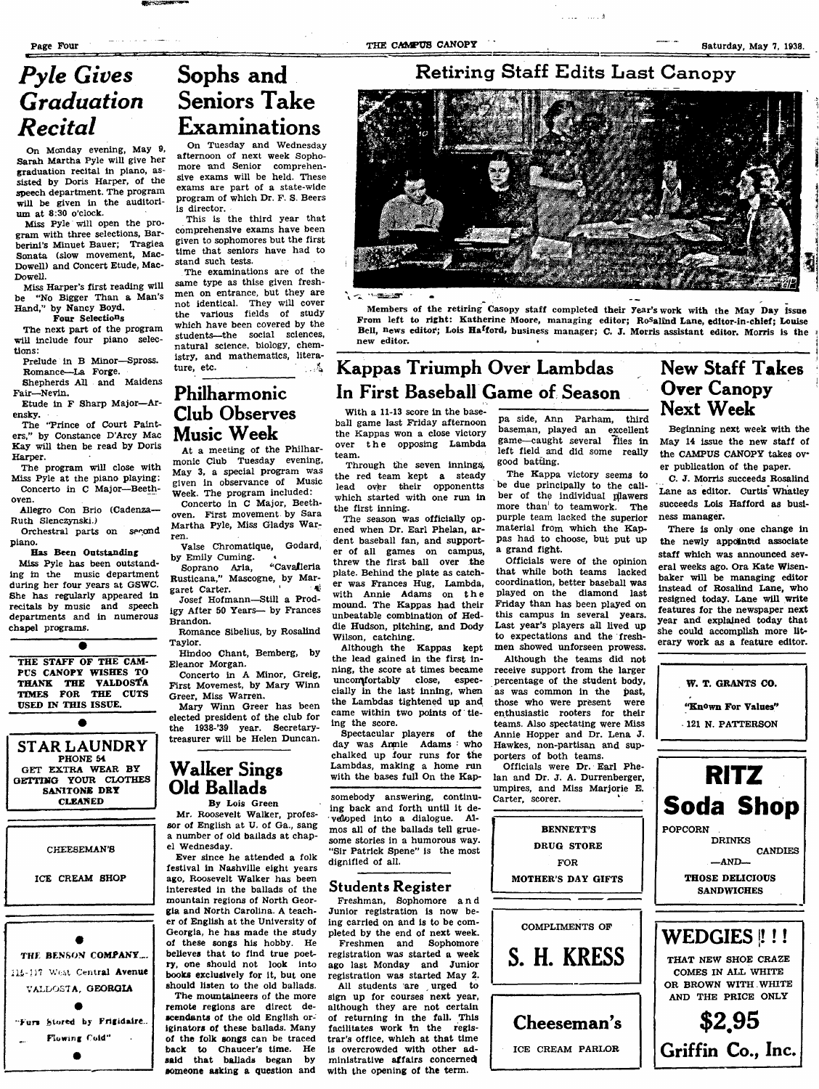um at 8:30 o'clock.

Dowell.

tions:

ensky.

Harper.

oven.

piano.

Ruth Slenczynski.)

chapel programs.

Fair—Nevin.

On Monday evening, May 9, Sarah Martha Pyle will give her graduation recital in piano, assisted by Doris Harper, of the speech department. The program will be given in the auditori-

Miss Pyle will open the program with three selections, Barberini's Minuet Bauer; Tragiea Sonata (slow movement, Mac-Dowell) and Concert Etude, Mac-

Miss Harper's first reading will be "No Bigger Than a Man's

Prelude in B Minor—Spross. Romance—La Forge.

Shepherds All and Maidens

Etude in F Sharp Major—Ar-

The 'Trince of Court Painters," by Constance D'Arcy Mac Kay will then be read by Doris

The program will close with Miss Pyle at the piano playing: Concerto in C Major—Beeth-

Allegro Con Brio (Cadenza--

Orchestral parts on second

Has Been Outstanding Miss Pyle has been outstanding in the music department during her four years at GSWC. She has regularly appeared in recitals by music and speech departments and in numerous

THE STAFF OF THE CAM PCS CANOPY WISHES TO THANK THE VALDOSTA TIMES FOR THE CUTS USED IN THIS ISSUE.

PHONE 54

**SAMTONE** DRY **CLEANED**

CHEESEMAN'S

ICE CREAM SHOP

THE BENSON COMPANY... 115-117 Weat Central Avenue VALDOSTA, GEORGIA  $\bullet$ Furs btored by Frigidaire. Flowing Cold"

Hand," by Nancy Boyd. Four Selections The next part of the program will include four piano selec-

Page Four Saturday, May 7, 1938.

### Retiring Staff Edits Last Canopy

.. . i



**THE STATE** 

Members of the retiring Casopy staff completed their Year's work with the May Day issue From left to right: Katherine Moore, managing editor; Ro<sup>s</sup>alind Lane, editor-in-chief; Louise Bell, news editor; Lois Ha<sup>f</sup>ford, business manager; C. J. Morris assistant editor. Morris is the new editor.

### Kappas Triumph Over Lambdas In First Baseball Game of Season

With a 11-13 score in the baseball game last Friday afternoon the Kappas won a close victory over the opposing Lambda team.

Through the seven innings, the red team kept a steady<br>lead over their opponentts over their opponentts which started with one run in the first inning.

The season was officially opened when Dr. Earl Phelan, ardent baseball fan, and supporter of all games on campus, threw the first ball over the plate. Behind the plate as catcher was Frances Hug, Lambda, with Annie Adams on th e mound. The Kappas had their unbeatable combination of Heddie Hudson, pitching, and Dody Wiison, catching.

Although the Kappas kept the lead gained in the first inning, the score at times became uncomfortably close, especcially in the last inning, when the Lambdas tightened up and came within two points of tieing the score.

Spectacular players of the day was Anmie Adams : who chalked up four runs for the Lambdas, making a home run with the bases full On the Kap-

somebody answering, continuing back and forth until it developed into a dialogue. Almos all of the ballads tell gruesome stories in a humorous way. "Sir Patrick Spene" is the most dignified of all.

#### Students Register

Freshman, Sophomore an d Junior registration is now being carried on and is to be completed by the end of next week. Freshmen and Sophomore

registration was started a week ago last Monday and Junior registration was started May 2.

All students are urged to sign up for courses next year, although they are not certain of returning in the fall. This facilitates work in the registrar's office, which at that time is overcrowded with other administrative affairs concerned with the opening of the term.

pa side, Ann Parham, third baseman, played an excellent game—caught several flies in left field and did some really good batting.

The Kappa victory seems to be due principally to the caliber of the individual piawers more than' to teamwork. The purple team lacked the superior material from which the Kappas had to choose, but put up a grand fight.

Officials were of the opinion that while both teams lacked coordination, better baseball was played on the diamond last Friday than has been played on this campus in several years. Last year's players all lived up to expectations and the freshmen showed unforseen prowess.

Although the teams did not receive support from the larger percentage of the student body, as was common in the past, those who were present were enthusiastic rooters for their teams. Also spectating were Miss Annie Hopper and Dr. Lena J. Hawkes, non-partisan and supporters of both teams.

Officials were Dr. Bari Phelan and Dr. J. A. Durrenberger, umpires, and Miss Marjorie E. Carter, scorer.

BENNETT'S

FOR

New Staff Takes Over Canopy Next Week

Beginning next week with the May 14 issue the new staff of the CAMPUS CANOPY takes over publication of the paper.

C. J. Morris succeeds Rosalind Lane as editor, Curtis'Whatley succeeds Lois Hafford as business manager.

There is only one change in the newly appolnttd associate staff which was announced several weeks ago. Ora Kate Wisenbaker will be managing editor instead of Rosalind Lane, who resigned today. Lane will write features for the newspaper next year and explained today that she could accomplish more hterary work as a feature editor.

> W. T. GRANTS CO. "Known For Values" 121 N. PATTERSON



# Pyle Gives Sophs and Graduation Seniors Take  $Recital$  Examinations

On Tuesday and Wednesday afternoon of next week Sophomore and Senior comprehensive exams will be held. These exams are part of a state-wide program of which Dr. F. S. Beers is director.

This is the third year that comprehensive exams have been given to sophomores but the first time that seniors have had to stand such tests.

The examinations are of the same type as thise given freshmen on entrance, but they are not identical. They will cover the various fields of study which have been covered by the students—the social sciences, natural science, biology, chemistry, and mathematics, literature, etc.  $\frac{4}{3}$ 

### Philharmonic Club Observes Music Week

At a meeting of the Philharmonic Club Tuesday evening, May 3, a special program was given in observance of Music Week. The program included:

Concerto in C Major, Beethoven. First movement by Sara Martha Pyle, Miss Gladys Warren.

Vaise Chromatique, Godard, by Emily Cuming.<br>Soprano Aria, "Cavalleria

Soprano Aria, ^'Cavafleria Rusticana," Mascogne, by Margaret Carter.

Josef Hofmann—Still a Prodigy After 50 Years— by Frances Brandon.

Romance Sibelius, by Rosalind Taylor.

Hindoo Chant, Bemberg, by Eleanor Morgan. Concerto in A Minor, Greig,

First Movemest, by Mary Winn Greer, Miss Warren. Mary Winn Greer has been elected president of the club for the 1938-'39 year. Secretarytreasurer will be Helen Duncan.

### Walker Singa Old Ballads

el Wednesday.

Ever since he attended a folk festival in Nashville eight years ago, Roosevelt Walker has been interested in the ballads of the mountain regions of North Georgia and North Carolina. A teacher of English at the University of Georgia, he has made the study of these songs his hobby. He believes that to find true poetry, one should not look into books exclusively for it, but one should listen to the old ballads. The mountaineers of the more

remote regions are direct descendants of the old English originators of these ballads. Many of the folk songs can be traced back to Chaucer's time. He said that ballads began by

STAR LAUNDRY GET EXTRA WEAR BY GETTING YOUR CLOTHES

By Lois Green Mr, Roosevelt Walker, professor of English at U. of Ga., sang a number of old ballads at chap-

someone asking a question and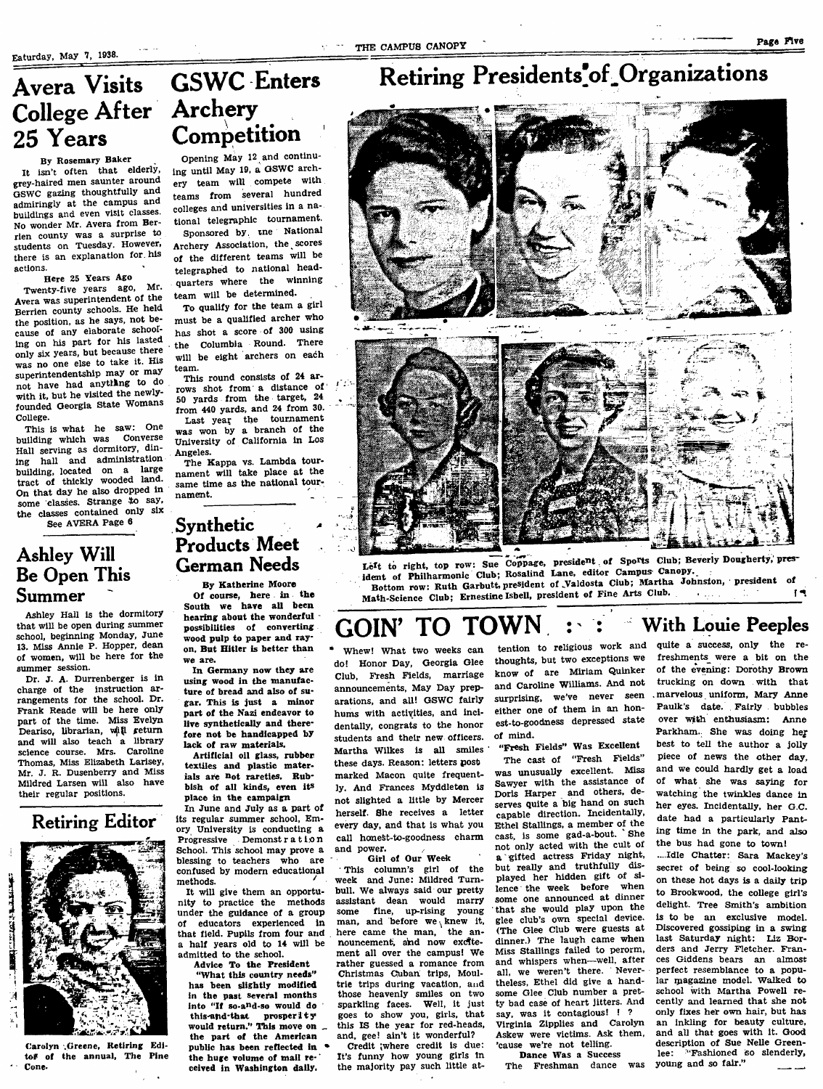## Avera Visits College After Archery 25 Years

#### By Rosemary Baker

It isn't often that elderly, grey-haired men saunter around GSWC gazing thoughtfully and admiringly at the campus and buildings and even visit classes. No wonder Mr. Avera from Berrien county was a surprise to students on Tuesday. However, there is an explanation for his actions.

#### Here 25 Years Ago

Twenty-five years ago, Mr. Avera was superintendent of the Berrien county schools. He held the position, as he says, not because of any elaborate schooling on his part for his lasted only six years, but because there was no one else to take it. His superintendentship may or may not have had anything to do with it, but he visited the newlyfounded Georgia State Womans College.

This is what he saw: One building which was Converse Hall serving as dormitory, dining hall and administration building, located on a large tract of thickly wooded land. On that day he also dropped in some classes. Strange to say, the classes contained only six See AVERA Page 6

Ashley Will Be Open This Summer

Ashley Hall is the dormitory that will be open during summer school, beginning Monday, June 13. Miss Annie P. Hopper, dean of women, will be here for the summer session.

Dr. J. A. Durrenberger is in charge of the instruction arrangements for the school. Dr, Frank Reade will be here only part of the time. Miss Evelyn Deariso, librarian, wiil return and will also teach a library science course. Mrs. Caroline Thomas, Miss Elizabeth Larisey, Mr, J. R. Dusenberry and Miss Mildred Larsen will also have their regular positions.



Carolyn .Greene, Retiring Edltof of the annual, The Pine Cone.

# GSWC Enters **Competition**

Opening May 12 and continuing until May 19, a OSWC archery team will compete with teams from several hundred colleges and universities in a national telegraphic tournament.

Sponsored by. tne National Archery Association, the scores of the different teams will be telegraphed to national headquarters where the winning team will be determined.

To qualify for the team a girl must be a qualified archer who has shot a score of 300 using the Columbia Round. There will be eight archers on each team.

This round consists of 24 arrows shot from a distance of 50 yards from the target, 24 from 440 yards, and 24 from 30. Last year the tournament was won by a branch of the University of California in Los Angeles.

J :

The Kappa vs. Lambda tournament will take place at the same time as the national tournament.

### Synthetic Products Meet German Needs

By Katherine Moore Of course, here in the South we have all been hearing about the wonderful possibilities of converting wood pulp to paper and rayon. But Hitler is better than we are.

In Germany now they are using wood in the manufacture of bread and also of sugar. This is just a minor part of the Nazi endeavor to live synthetically and therefore not be handicapped by lack of raw materials.

Artiflcisl oil glass, rubber textiles and plastic materials are Dot rareties. Rubbish of all kinds, even its place in the campaign

In June and July as a part of its regular summer school, Emory University is conducting a Progressive Demonst r a t i.o.n School. This school may prove a blessing to teachers who are confused by modem educational methods. ^

It will give them an opportunity in practice the methods under the guidance of a group of educators experienced in that field. Pupils from four and a half years old to 14 will be admitted to the school.

Advice To the President

"What this country needs" has been slightly modified in the past several months into "If so-and-so would do this-and-that prosperity would return." This move on ^ the part of the American public has been reflected in ^ the huge volume of mall received in Washington dally.

# Retiring Presidents<sup>'of</sup> Organizations



![](_page_4_Picture_30.jpeg)

Left to right, top row: Sue Coppage, president of Sports Club; Beverly Dougherty, president of Philharmonic Club; Rosalind Lane, editor Campus Canopy. Bottom row: Ruth Garbutt, president of Valdosta Ciub; Martha Johnston, president of Math-Science Club; Ernestine Isbell, president of Fine Arts Club.

#### GOIN' TO TOWN : : With Louie Peeples quite a success, only the re-

Whew! What two weeks can do! Honor Day, Georgia Glee Club, Fresh Fields, marriage announcements. May Day preparations, and all! GSWC fairly hums with activities, and incidentally, congrats to the honor students and their new officers. Martha Wilkes is all smiles these days. Reason: letters post marked Macon quite frequently. And Frances Myddleten is not slighted a little by Mercer herself. She receives a letter every day, and that is what you call honest-to-goodness charm and power.

Girl of Our Week This column's girl of the week and June: Mildred Turnbull. We always said our pretty assistant dean wouid marry some fine, up-rising young man, and before we knew it, here came the man, the announcement, and now excitement all over the campus! We rather guessed a romance from Christmas Cuban trips, Moultrie trips during vacation, and those heavenly smiles on two sparkling faces. Well, it just goes to show you, giris, that this IS the year for red-heads, and, gee! ain't it wonderful? Credit ;where credit is due:

It's funny how young girls In the majority pay such little at-

tention to religious work and thoughts, but two exceptions we know of are Miriam Quinker and Caroline Williams. And not either one of them in an honest-to-goodness depressed state of mind.

"Fresh Fields" Was ExceUent The cast of "Fresh Fields" was unusually excellent. Miss Sawyer with the assistance of Doris Harper and others, deserves quite a big hand on such capable direction. Incidentally, Ethel Stallings, a member of the<br>cost is some gad-a-bout. She cast, is some gad-a-bout. not only acted with the cult of a gifted actress Friday night, but really and truthfully displayed her hidden gift of silence the week before some one announced at dinner that she would play upon the glee club's own special device. (The Glee Club were guests at dinner.) The laugh came when Miss Stallings failed to perorm, and whispers when—weH, after all, we weren't there. Nevertheless, Ethel did give a handsome Glee Club number a pretty bad case of heart jitters. And say, was it contagious! ! ? Virginia Zipplies and Carolyn Askew were victims. Ask them, 'cause we're not telling.

Dance Was a Success The Freshman dance was

surprising, we've never seen . marvelous uniform, Mary Anne freshmenis were a bit on the of the evening: Dorothy Brown trucking on down with that Paulk's date. Fairly bubbles over with enthusiasm: Anne Parkham. She was doing her best to tell the author a jolly piece of news the other day, and we could hardly get a load of what she was saying for watching the twinkles dance in her eyes. Incidentally, her G.C. date had a particularly Panting time in the park, and also the bus had gone to town!

> ....Idle Chatter: Sara Mackey's secret of being so cool-looking on these hot days is a daily trip to Brookwood, the college girl's delight. Tree Smith's ambition is to be an exclusive model. Discovered gossiping in a swing last Saturday night: Liz Borders and Jerry Fletcher. Frances Giddens bears an almost perfect resemblance to a popular magazine model. Walked to school with Martha Powell recently and learned that she not only fixes her own hair, but has an inkling for beauty culture, and all that goes with it. Good description of Sue Nelle Greenlee: "Fashioned so slenderly, young and so fair."